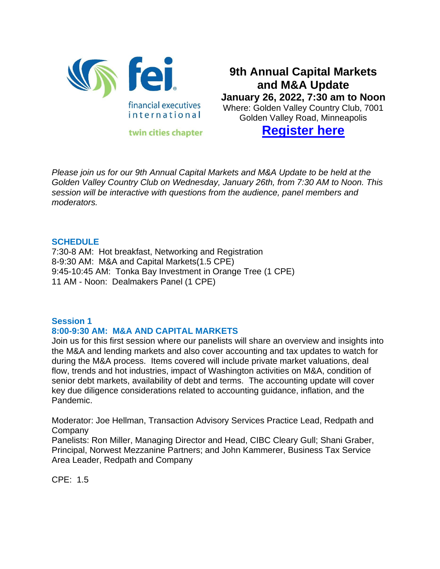

**9th Annual Capital Markets and M&A Update January 26, 2022, 7:30 am to Noon**

Where: Golden Valley Country Club, 7001 Golden Valley Road, Minneapolis

# **[Register](http://events.constantcontact.com/register/event?llr=9bqn8gdab&oeidk=a07eiu58pvm35f73c45) here**

*Please join us for our 9th Annual Capital Markets and M&A Update to be held at the Golden Valley Country Club on Wednesday, January 26th, from 7:30 AM to Noon. This session will be interactive with questions from the audience, panel members and moderators.*

## **SCHEDULE**

7:30-8 AM: Hot breakfast, Networking and Registration 8-9:30 AM: M&A and Capital Markets(1.5 CPE) 9:45-10:45 AM: Tonka Bay Investment in Orange Tree (1 CPE) 11 AM - Noon: Dealmakers Panel (1 CPE)

## **Session 1 8:00-9:30 AM: M&A AND CAPITAL MARKETS**

Join us for this first session where our panelists will share an overview and insights into the M&A and lending markets and also cover accounting and tax updates to watch for during the M&A process. Items covered will include private market valuations, deal flow, trends and hot industries, impact of Washington activities on M&A, condition of senior debt markets, availability of debt and terms. The accounting update will cover key due diligence considerations related to accounting guidance, inflation, and the Pandemic.

Moderator: Joe Hellman, Transaction Advisory Services Practice Lead, Redpath and **Company** 

Panelists: Ron Miller, Managing Director and Head, CIBC Cleary Gull; Shani Graber, Principal, Norwest Mezzanine Partners; and John Kammerer, Business Tax Service Area Leader, Redpath and Company

CPE: 1.5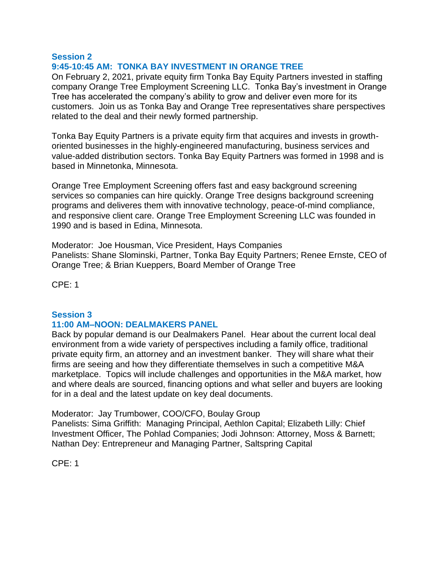#### **Session 2 9:45-10:45 AM: TONKA BAY INVESTMENT IN ORANGE TREE**

On February 2, 2021, private equity firm Tonka Bay Equity Partners invested in staffing company Orange Tree Employment Screening LLC. Tonka Bay's investment in Orange Tree has accelerated the company's ability to grow and deliver even more for its customers. Join us as Tonka Bay and Orange Tree representatives share perspectives related to the deal and their newly formed partnership.

Tonka Bay Equity Partners is a private equity firm that acquires and invests in growthoriented businesses in the highly-engineered manufacturing, business services and value-added distribution sectors. Tonka Bay Equity Partners was formed in 1998 and is based in Minnetonka, Minnesota.

Orange Tree Employment Screening offers fast and easy background screening services so companies can hire quickly. Orange Tree designs background screening programs and deliveres them with innovative technology, peace-of-mind compliance, and responsive client care. Orange Tree Employment Screening LLC was founded in 1990 and is based in Edina, Minnesota.

Moderator: Joe Housman, Vice President, Hays Companies Panelists: Shane Slominski, Partner, Tonka Bay Equity Partners; Renee Ernste, CEO of Orange Tree; & Brian Kueppers, Board Member of Orange Tree

CPE: 1

## **Session 3**

## **11:00 AM–NOON: DEALMAKERS PANEL**

Back by popular demand is our Dealmakers Panel. Hear about the current local deal environment from a wide variety of perspectives including a family office, traditional private equity firm, an attorney and an investment banker. They will share what their firms are seeing and how they differentiate themselves in such a competitive M&A marketplace. Topics will include challenges and opportunities in the M&A market, how and where deals are sourced, financing options and what seller and buyers are looking for in a deal and the latest update on key deal documents.

Moderator: Jay Trumbower, COO/CFO, Boulay Group

Panelists: Sima Griffith: Managing Principal, Aethlon Capital; Elizabeth Lilly: Chief Investment Officer, The Pohlad Companies; Jodi Johnson: Attorney, Moss & Barnett; Nathan Dey: Entrepreneur and Managing Partner, Saltspring Capital

CPE: 1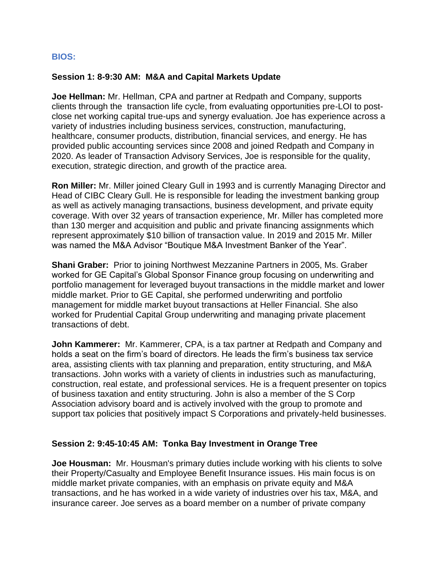### **BIOS:**

### **Session 1: 8-9:30 AM: M&A and Capital Markets Update**

**Joe Hellman:** Mr. Hellman, CPA and partner at Redpath and Company, supports clients through the transaction life cycle, from evaluating opportunities pre-LOI to postclose net working capital true-ups and synergy evaluation. Joe has experience across a variety of industries including business services, construction, manufacturing, healthcare, consumer products, distribution, financial services, and energy. He has provided public accounting services since 2008 and joined Redpath and Company in 2020. As leader of Transaction Advisory Services, Joe is responsible for the quality, execution, strategic direction, and growth of the practice area.

**Ron Miller:** Mr. Miller joined Cleary Gull in 1993 and is currently Managing Director and Head of CIBC Cleary Gull. He is responsible for leading the investment banking group as well as actively managing transactions, business development, and private equity coverage. With over 32 years of transaction experience, Mr. Miller has completed more than 130 merger and acquisition and public and private financing assignments which represent approximately \$10 billion of transaction value. In 2019 and 2015 Mr. Miller was named the M&A Advisor "Boutique M&A Investment Banker of the Year".

**Shani Graber:** Prior to joining Northwest Mezzanine Partners in 2005, Ms. Graber worked for GE Capital's Global Sponsor Finance group focusing on underwriting and portfolio management for leveraged buyout transactions in the middle market and lower middle market. Prior to GE Capital, she performed underwriting and portfolio management for middle market buyout transactions at Heller Financial. She also worked for Prudential Capital Group underwriting and managing private placement transactions of debt.

**John Kammerer:** Mr. Kammerer, CPA, is a tax partner at Redpath and Company and holds a seat on the firm's board of directors. He leads the firm's business tax service area, assisting clients with tax planning and preparation, entity structuring, and M&A transactions. John works with a variety of clients in industries such as manufacturing, construction, real estate, and professional services. He is a frequent presenter on topics of business taxation and entity structuring. John is also a member of the S Corp Association advisory board and is actively involved with the group to promote and support tax policies that positively impact S Corporations and privately-held businesses.

#### **Session 2: 9:45-10:45 AM: Tonka Bay Investment in Orange Tree**

**Joe Housman:** Mr. Housman's primary duties include working with his clients to solve their Property/Casualty and Employee Benefit Insurance issues. His main focus is on middle market private companies, with an emphasis on private equity and M&A transactions, and he has worked in a wide variety of industries over his tax, M&A, and insurance career. Joe serves as a board member on a number of private company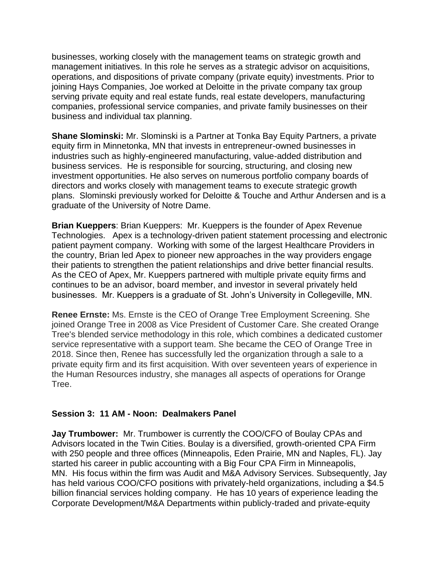businesses, working closely with the management teams on strategic growth and management initiatives. In this role he serves as a strategic advisor on acquisitions, operations, and dispositions of private company (private equity) investments. Prior to joining Hays Companies, Joe worked at Deloitte in the private company tax group serving private equity and real estate funds, real estate developers, manufacturing companies, professional service companies, and private family businesses on their business and individual tax planning.

**Shane Slominski:** Mr. Slominski is a Partner at Tonka Bay Equity Partners, a private equity firm in Minnetonka, MN that invests in entrepreneur-owned businesses in industries such as highly-engineered manufacturing, value-added distribution and business services. He is responsible for sourcing, structuring, and closing new investment opportunities. He also serves on numerous portfolio company boards of directors and works closely with management teams to execute strategic growth plans. Slominski previously worked for Deloitte & Touche and Arthur Andersen and is a graduate of the University of Notre Dame.

**Brian Kueppers**: Brian Kueppers: Mr. Kueppers is the founder of Apex Revenue Technologies. Apex is a technology-driven patient statement processing and electronic patient payment company. Working with some of the largest Healthcare Providers in the country, Brian led Apex to pioneer new approaches in the way providers engage their patients to strengthen the patient relationships and drive better financial results. As the CEO of Apex, Mr. Kueppers partnered with multiple private equity firms and continues to be an advisor, board member, and investor in several privately held businesses. Mr. Kueppers is a graduate of St. John's University in Collegeville, MN.

**Renee Ernste:** Ms. Ernste is the CEO of Orange Tree Employment Screening. She joined Orange Tree in 2008 as Vice President of Customer Care. She created Orange Tree's blended service methodology in this role, which combines a dedicated customer service representative with a support team. She became the CEO of Orange Tree in 2018. Since then, Renee has successfully led the organization through a sale to a private equity firm and its first acquisition. With over seventeen years of experience in the Human Resources industry, she manages all aspects of operations for Orange Tree.

#### **Session 3: 11 AM - Noon: Dealmakers Panel**

**Jay Trumbower:** Mr. Trumbower is currently the COO/CFO of Boulay CPAs and Advisors located in the Twin Cities. Boulay is a diversified, growth-oriented CPA Firm with 250 people and three offices (Minneapolis, Eden Prairie, MN and Naples, FL). Jay started his career in public accounting with a Big Four CPA Firm in Minneapolis, MN. His focus within the firm was Audit and M&A Advisory Services. Subsequently, Jay has held various COO/CFO positions with privately-held organizations, including a \$4.5 billion financial services holding company. He has 10 years of experience leading the Corporate Development/M&A Departments within publicly-traded and private-equity